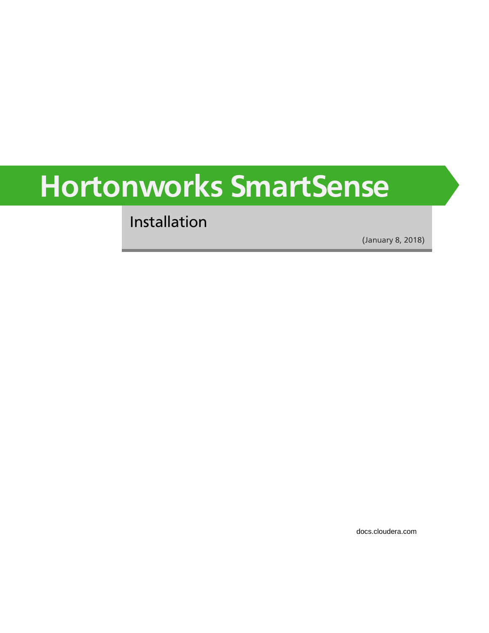# **Hortonworks SmartSense**

Installation

(January 8, 2018)

[docs.cloudera.com](http://docs.cloudera.com)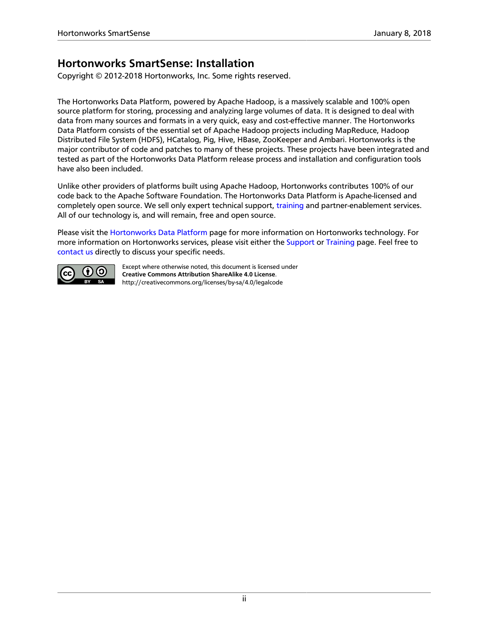### **Hortonworks SmartSense: Installation**

Copyright © 2012-2018 Hortonworks, Inc. Some rights reserved.

The Hortonworks Data Platform, powered by Apache Hadoop, is a massively scalable and 100% open source platform for storing, processing and analyzing large volumes of data. It is designed to deal with data from many sources and formats in a very quick, easy and cost-effective manner. The Hortonworks Data Platform consists of the essential set of Apache Hadoop projects including MapReduce, Hadoop Distributed File System (HDFS), HCatalog, Pig, Hive, HBase, ZooKeeper and Ambari. Hortonworks is the major contributor of code and patches to many of these projects. These projects have been integrated and tested as part of the Hortonworks Data Platform release process and installation and configuration tools have also been included.

Unlike other providers of platforms built using Apache Hadoop, Hortonworks contributes 100% of our code back to the Apache Software Foundation. The Hortonworks Data Platform is Apache-licensed and completely open source. We sell only expert technical support, [training](https://hortonworks.com/training/) and partner-enablement services. All of our technology is, and will remain, free and open source.

Please visit the [Hortonworks Data Platform](https://hortonworks.com/products/hdp/) page for more information on Hortonworks technology. For more information on Hortonworks services, please visit either the [Support](https://hortonworks.com/services/) or [Training](https://hortonworks.com/training/) page. Feel free to [contact us](https://hortonworks.com/contact-us/) directly to discuss your specific needs.



Except where otherwise noted, this document is licensed under **[Creative Commons Attribution ShareAlike 4.0 License](http://creativecommons.org/licenses/by-sa/4.0/legalcode)**. <http://creativecommons.org/licenses/by-sa/4.0/legalcode>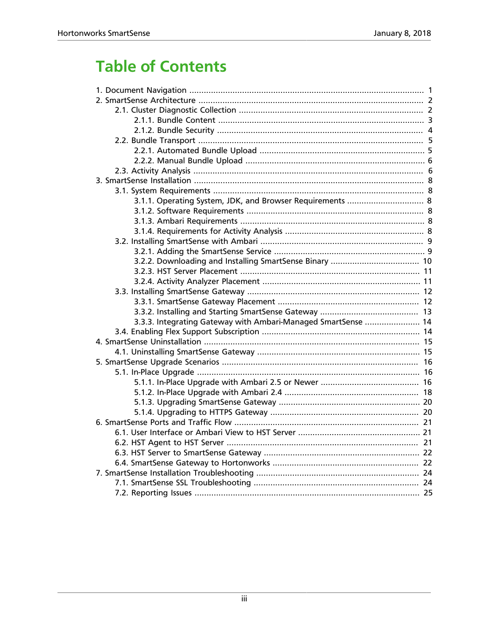# **Table of Contents**

| 3.1.1. Operating System, JDK, and Browser Requirements  8     |
|---------------------------------------------------------------|
|                                                               |
|                                                               |
|                                                               |
|                                                               |
|                                                               |
|                                                               |
|                                                               |
|                                                               |
|                                                               |
|                                                               |
|                                                               |
| 3.3.3. Integrating Gateway with Ambari-Managed SmartSense  14 |
|                                                               |
|                                                               |
|                                                               |
|                                                               |
|                                                               |
|                                                               |
|                                                               |
|                                                               |
|                                                               |
|                                                               |
|                                                               |
|                                                               |
|                                                               |
|                                                               |
|                                                               |
|                                                               |
|                                                               |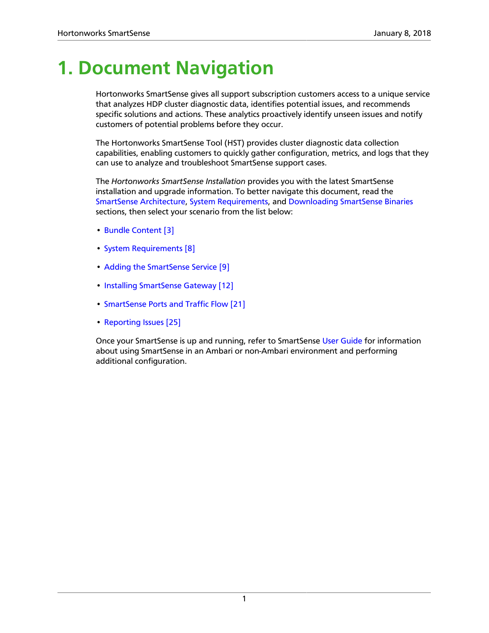# <span id="page-3-0"></span>**1. Document Navigation**

Hortonworks SmartSense gives all support subscription customers access to a unique service that analyzes HDP cluster diagnostic data, identifies potential issues, and recommends specific solutions and actions. These analytics proactively identify unseen issues and notify customers of potential problems before they occur.

The Hortonworks SmartSense Tool (HST) provides cluster diagnostic data collection capabilities, enabling customers to quickly gather configuration, metrics, and logs that they can use to analyze and troubleshoot SmartSense support cases.

The *Hortonworks SmartSense Installation* provides you with the latest SmartSense installation and upgrade information. To better navigate this document, read the [SmartSense Architecture](#page-4-0), [System Requirements,](#page-10-1) and [Downloading SmartSense Binaries](#page-12-0) sections, then select your scenario from the list below:

- [Bundle Content \[3\]](#page-5-0)
- [System Requirements \[8\]](#page-10-1)
- [Adding the SmartSense Service \[9\]](#page-11-1)
- [Installing SmartSense Gateway \[12\]](#page-14-0)
- [SmartSense Ports and Traffic Flow \[21\]](#page-23-0)
- [Reporting Issues \[25\]](#page-27-0)

Once your SmartSense is up and running, refer to SmartSense [User Guide](https://docs.hortonworks.com/HDPDocuments/SS1/SmartSense-1.4.4/bk_user-guide/content/index.html) for information about using SmartSense in an Ambari or non-Ambari environment and performing additional configuration.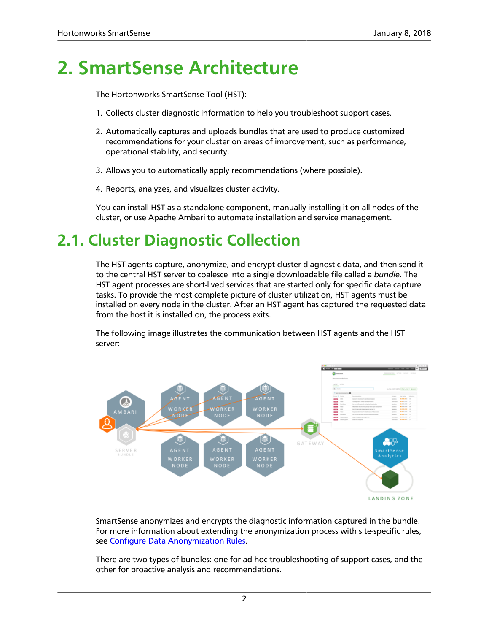# <span id="page-4-0"></span>**2. SmartSense Architecture**

The Hortonworks SmartSense Tool (HST):

- 1. Collects cluster diagnostic information to help you troubleshoot support cases.
- 2. Automatically captures and uploads bundles that are used to produce customized recommendations for your cluster on areas of improvement, such as performance, operational stability, and security.
- 3. Allows you to automatically apply recommendations (where possible).
- 4. Reports, analyzes, and visualizes cluster activity.

You can install HST as a standalone component, manually installing it on all nodes of the cluster, or use Apache Ambari to automate installation and service management.

# <span id="page-4-1"></span>**2.1. Cluster Diagnostic Collection**

The HST agents capture, anonymize, and encrypt cluster diagnostic data, and then send it to the central HST server to coalesce into a single downloadable file called a *bundle*. The HST agent processes are short-lived services that are started only for specific data capture tasks. To provide the most complete picture of cluster utilization, HST agents must be installed on every node in the cluster. After an HST agent has captured the requested data from the host it is installed on, the process exits.

The following image illustrates the communication between HST agents and the HST server:



SmartSense anonymizes and encrypts the diagnostic information captured in the bundle. For more information about extending the anonymization process with site-specific rules, see [Configure Data Anonymization Rules](https://docs.hortonworks.com/HDPDocuments/SS1/SmartSense-1.4.4/bk_user-guide/content/appendix_data_anonymization.html).

There are two types of bundles: one for ad-hoc troubleshooting of support cases, and the other for proactive analysis and recommendations.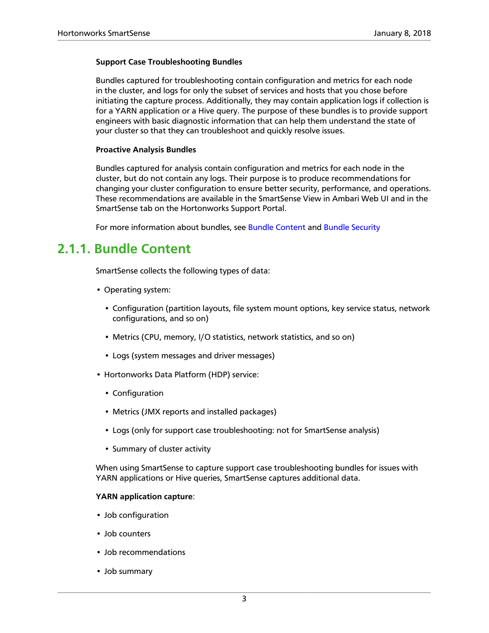#### **Support Case Troubleshooting Bundles**

Bundles captured for troubleshooting contain configuration and metrics for each node in the cluster, and logs for only the subset of services and hosts that you chose before initiating the capture process. Additionally, they may contain application logs if collection is for a YARN application or a Hive query. The purpose of these bundles is to provide support engineers with basic diagnostic information that can help them understand the state of your cluster so that they can troubleshoot and quickly resolve issues.

#### **Proactive Analysis Bundles**

Bundles captured for analysis contain configuration and metrics for each node in the cluster, but do not contain any logs. Their purpose is to produce recommendations for changing your cluster configuration to ensure better security, performance, and operations. These recommendations are available in the SmartSense View in Ambari Web UI and in the SmartSense tab on the Hortonworks Support Portal.

For more information about bundles, see [Bundle Content](#page-5-0) and [Bundle Security](#page-6-0)

### <span id="page-5-0"></span>**2.1.1. Bundle Content**

SmartSense collects the following types of data:

- Operating system:
	- Configuration (partition layouts, file system mount options, key service status, network configurations, and so on)
	- Metrics (CPU, memory, I/O statistics, network statistics, and so on)
	- Logs (system messages and driver messages)
- Hortonworks Data Platform (HDP) service:
	- Configuration
	- Metrics (JMX reports and installed packages)
	- Logs (only for support case troubleshooting: not for SmartSense analysis)
	- Summary of cluster activity

When using SmartSense to capture support case troubleshooting bundles for issues with YARN applications or Hive queries, SmartSense captures additional data.

#### **YARN application capture**:

- Job configuration
- Job counters
- Job recommendations
- Job summary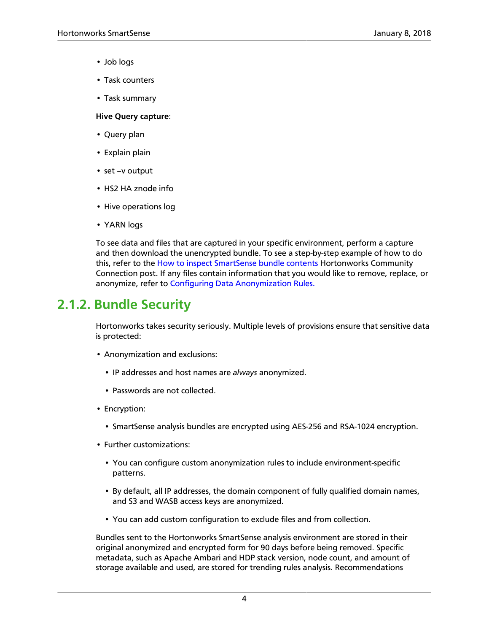- Job logs
- Task counters
- Task summary

**Hive Query capture**:

- Query plan
- Explain plain
- set –v output
- HS2 HA znode info
- Hive operations log
- YARN logs

To see data and files that are captured in your specific environment, perform a capture and then download the unencrypted bundle. To see a step-by-step example of how to do this, refer to the [How to inspect SmartSense bundle contents](https://community.hortonworks.com/content/kbentry/34201/how-to-inspect-smartsense-bundle-contents.html) Hortonworks Community Connection post. If any files contain information that you would like to remove, replace, or anonymize, refer to [Configuring Data Anonymization Rules.](https://docs.hortonworks.com/HDPDocuments/SS1/SmartSense-1.4.4/bk_user-guide/content/appendix_data_anonymization.html)

### <span id="page-6-0"></span>**2.1.2. Bundle Security**

Hortonworks takes security seriously. Multiple levels of provisions ensure that sensitive data is protected:

- Anonymization and exclusions:
	- IP addresses and host names are *always* anonymized.
	- Passwords are not collected.
- Encryption:
	- SmartSense analysis bundles are encrypted using AES-256 and RSA-1024 encryption.
- Further customizations:
	- You can configure custom anonymization rules to include environment-specific patterns.
	- By default, all IP addresses, the domain component of fully qualified domain names, and S3 and WASB access keys are anonymized.
	- You can add custom configuration to exclude files and from collection.

Bundles sent to the Hortonworks SmartSense analysis environment are stored in their original anonymized and encrypted form for 90 days before being removed. Specific metadata, such as Apache Ambari and HDP stack version, node count, and amount of storage available and used, are stored for trending rules analysis. Recommendations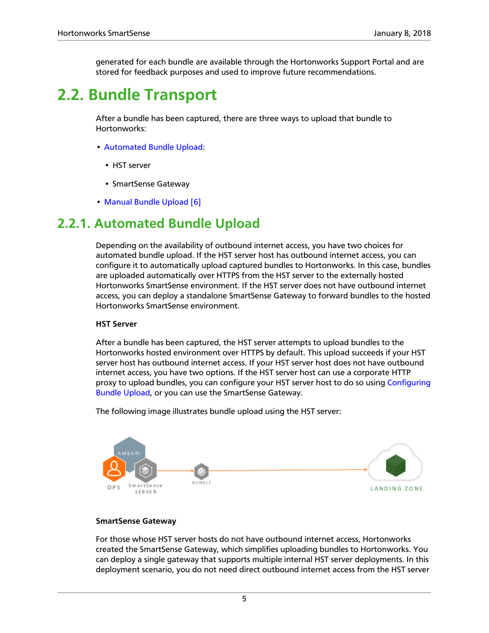generated for each bundle are available through the Hortonworks Support Portal and are stored for feedback purposes and used to improve future recommendations.

# <span id="page-7-0"></span>**2.2. Bundle Transport**

After a bundle has been captured, there are three ways to upload that bundle to Hortonworks:

- [Automated Bundle Upload:](#page-7-1)
	- HST server
	- SmartSense Gateway
- [Manual Bundle Upload \[6\]](#page-8-0)

### <span id="page-7-1"></span>**2.2.1. Automated Bundle Upload**

Depending on the availability of outbound internet access, you have two choices for automated bundle upload. If the HST server host has outbound internet access, you can configure it to automatically upload captured bundles to Hortonworks. In this case, bundles are uploaded automatically over HTTPS from the HST server to the externally hosted Hortonworks SmartSense environment. If the HST server does not have outbound internet access, you can deploy a standalone SmartSense Gateway to forward bundles to the hosted Hortonworks SmartSense environment.

#### **HST Server**

After a bundle has been captured, the HST server attempts to upload bundles to the Hortonworks hosted environment over HTTPS by default. This upload succeeds if your HST server host has outbound internet access. If your HST server host does not have outbound internet access, you have two options. If the HST server host can use a corporate HTTP proxy to upload bundles, you can configure your HST server host to do so using [Configuring](https://docs.hortonworks.com/HDPDocuments/SS1/SmartSense-1.4.4/bk_user-guide/content/configuring_bundle_upload.html) [Bundle Upload](https://docs.hortonworks.com/HDPDocuments/SS1/SmartSense-1.4.4/bk_user-guide/content/configuring_bundle_upload.html), or you can use the SmartSense Gateway.

The following image illustrates bundle upload using the HST server:



#### **SmartSense Gateway**

For those whose HST server hosts do not have outbound internet access, Hortonworks created the SmartSense Gateway, which simplifies uploading bundles to Hortonworks. You can deploy a single gateway that supports multiple internal HST server deployments. In this deployment scenario, you do not need direct outbound internet access from the HST server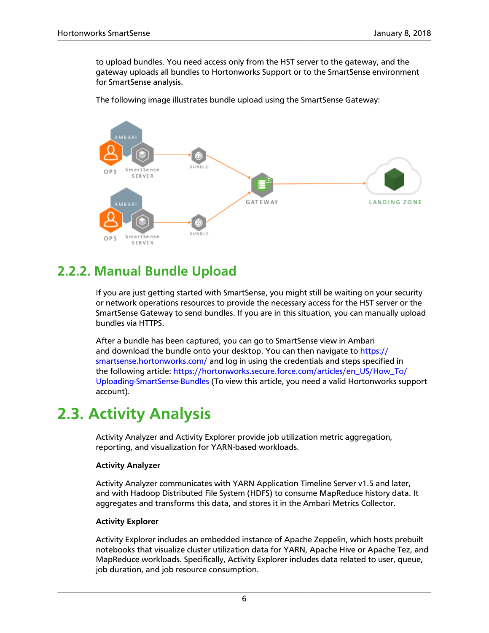to upload bundles. You need access only from the HST server to the gateway, and the gateway uploads all bundles to Hortonworks Support or to the SmartSense environment for SmartSense analysis.

The following image illustrates bundle upload using the SmartSense Gateway:



### <span id="page-8-0"></span>**2.2.2. Manual Bundle Upload**

If you are just getting started with SmartSense, you might still be waiting on your security or network operations resources to provide the necessary access for the HST server or the SmartSense Gateway to send bundles. If you are in this situation, you can manually upload bundles via HTTPS.

After a bundle has been captured, you can go to SmartSense view in Ambari and download the bundle onto your desktop. You can then navigate to [https://](https://smartsense.hortonworks.com/) [smartsense.hortonworks.com/](https://smartsense.hortonworks.com/) and log in using the credentials and steps specified in the following article: [https://hortonworks.secure.force.com/articles/en\\_US/How\\_To/](https://hortonworks.secure.force.com/articles/en_US/How_To/Uploading-SmartSense-Bundles) [Uploading-SmartSense-Bundles](https://hortonworks.secure.force.com/articles/en_US/How_To/Uploading-SmartSense-Bundles) (To view this article, you need a valid Hortonworks support account).

# <span id="page-8-1"></span>**2.3. Activity Analysis**

Activity Analyzer and Activity Explorer provide job utilization metric aggregation, reporting, and visualization for YARN-based workloads.

#### **Activity Analyzer**

Activity Analyzer communicates with YARN Application Timeline Server v1.5 and later, and with Hadoop Distributed File System (HDFS) to consume MapReduce history data. It aggregates and transforms this data, and stores it in the Ambari Metrics Collector.

#### **Activity Explorer**

Activity Explorer includes an embedded instance of Apache Zeppelin, which hosts prebuilt notebooks that visualize cluster utilization data for YARN, Apache Hive or Apache Tez, and MapReduce workloads. Specifically, Activity Explorer includes data related to user, queue, job duration, and job resource consumption.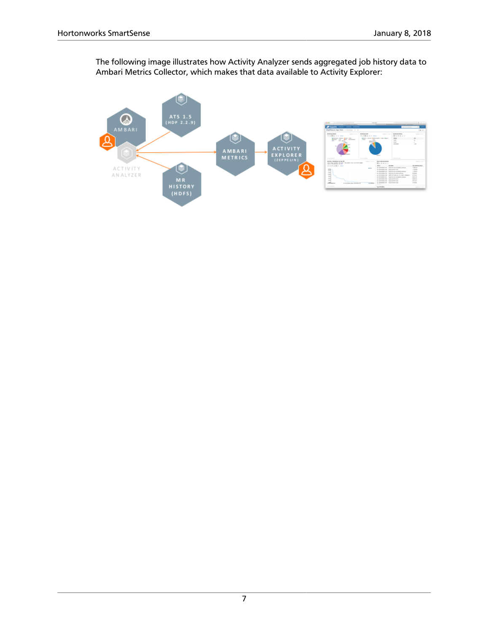The following image illustrates how Activity Analyzer sends aggregated job history data to Ambari Metrics Collector, which makes that data available to Activity Explorer:

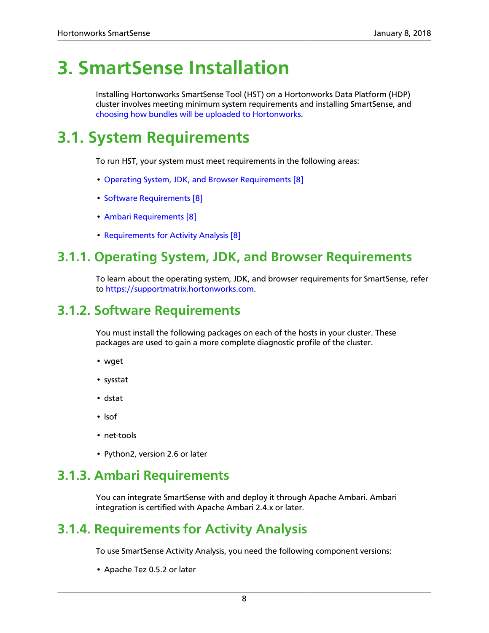# <span id="page-10-0"></span>**3. SmartSense Installation**

Installing Hortonworks SmartSense Tool (HST) on a Hortonworks Data Platform (HDP) cluster involves meeting minimum system requirements and installing SmartSense, and [choosing how bundles will be uploaded to Hortonworks.](#page-7-0)

# <span id="page-10-1"></span>**3.1. System Requirements**

To run HST, your system must meet requirements in the following areas:

- [Operating System, JDK, and Browser Requirements \[8\]](#page-10-2)
- [Software Requirements \[8\]](#page-10-3)
- [Ambari Requirements \[8\]](#page-10-4)
- [Requirements for Activity Analysis \[8\]](#page-10-5)

### <span id="page-10-2"></span>**3.1.1. Operating System, JDK, and Browser Requirements**

To learn about the operating system, JDK, and browser requirements for SmartSense, refer to [https://supportmatrix.hortonworks.com.](https://supportmatrix.hortonworks.com)

### <span id="page-10-3"></span>**3.1.2. Software Requirements**

You must install the following packages on each of the hosts in your cluster. These packages are used to gain a more complete diagnostic profile of the cluster.

- wget
- sysstat
- dstat
- lsof
- net-tools
- Python2, version 2.6 or later

### <span id="page-10-4"></span>**3.1.3. Ambari Requirements**

You can integrate SmartSense with and deploy it through Apache Ambari. Ambari integration is certified with Apache Ambari 2.4.x or later.

### <span id="page-10-5"></span>**3.1.4. Requirements for Activity Analysis**

To use SmartSense Activity Analysis, you need the following component versions:

• Apache Tez 0.5.2 or later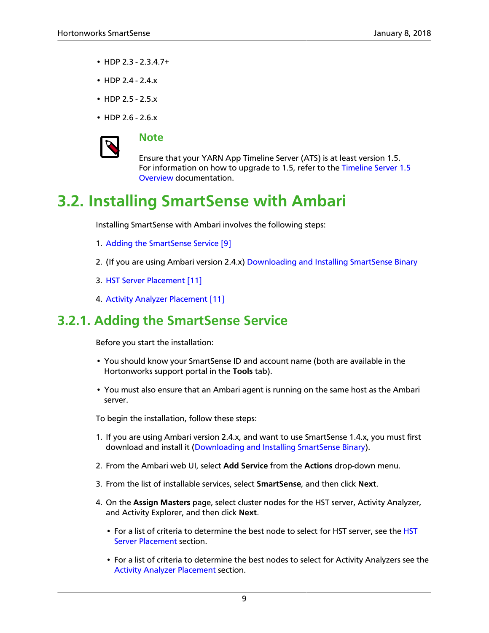- HDP 2.3 2.3.4.7+
- HDP 2.4 2.4.x
- HDP 2.5 2.5.x
- HDP 2.6 2.6.x



#### **Note**

Ensure that your YARN App Timeline Server (ATS) is at least version 1.5. For information on how to upgrade to 1.5, refer to the [Timeline Server 1.5](https://docs.hortonworks.com/HDPDocuments/HDP2/HDP-2.6.4/bk_yarn-resource-management/content/ch08s01.html) [Overview](https://docs.hortonworks.com/HDPDocuments/HDP2/HDP-2.6.4/bk_yarn-resource-management/content/ch08s01.html) documentation.

# <span id="page-11-0"></span>**3.2. Installing SmartSense with Ambari**

Installing SmartSense with Ambari involves the following steps:

- 1. [Adding the SmartSense Service \[9\]](#page-11-1)
- 2. (If you are using Ambari version 2.4.x) [Downloading and Installing SmartSense Binary](#page-12-0)
- 3. [HST Server Placement \[11\]](#page-13-0)
- 4. [Activity Analyzer Placement \[11\]](#page-13-1)

### <span id="page-11-1"></span>**3.2.1. Adding the SmartSense Service**

Before you start the installation:

- You should know your SmartSense ID and account name (both are available in the Hortonworks support portal in the **Tools** tab).
- You must also ensure that an Ambari agent is running on the same host as the Ambari server.

To begin the installation, follow these steps:

- 1. If you are using Ambari version 2.4.x, and want to use SmartSense 1.4.x, you must first download and install it ([Downloading and Installing SmartSense Binary](#page-12-0)).
- 2. From the Ambari web UI, select **Add Service** from the **Actions** drop-down menu.
- 3. From the list of installable services, select **SmartSense**, and then click **Next**.
- 4. On the **Assign Masters** page, select cluster nodes for the HST server, Activity Analyzer, and Activity Explorer, and then click **Next**.
	- For a list of criteria to determine the best node to select for HST server, see the [HST](#page-13-0) [Server Placement](#page-13-0) section.
	- For a list of criteria to determine the best nodes to select for Activity Analyzers see the [Activity Analyzer Placement](#page-13-1) section.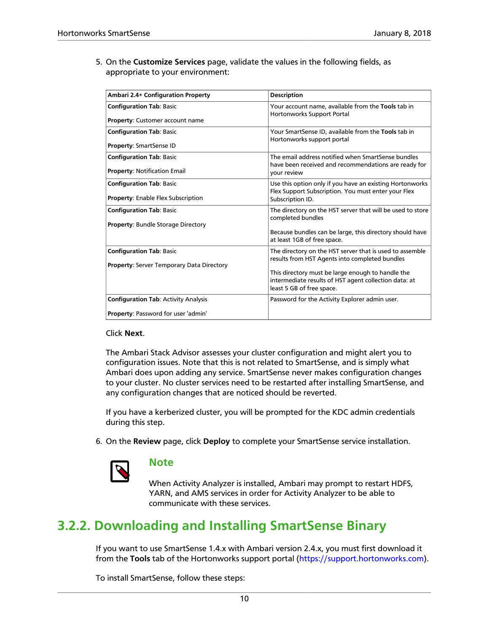5. On the **Customize Services** page, validate the values in the following fields, as appropriate to your environment:

| Ambari 2.4+ Configuration Property               | <b>Description</b>                                                                                                                      |
|--------------------------------------------------|-----------------------------------------------------------------------------------------------------------------------------------------|
| <b>Configuration Tab: Basic</b>                  | Your account name, available from the Tools tab in<br>Hortonworks Support Portal                                                        |
| <b>Property: Customer account name</b>           |                                                                                                                                         |
| <b>Configuration Tab: Basic</b>                  | Your SmartSense ID, available from the Tools tab in<br>Hortonworks support portal                                                       |
| Property: SmartSense ID                          |                                                                                                                                         |
| <b>Configuration Tab: Basic</b>                  | The email address notified when SmartSense bundles<br>have been received and recommendations are ready for                              |
| <b>Property: Notification Email</b>              | vour review                                                                                                                             |
| <b>Configuration Tab: Basic</b>                  | Use this option only if you have an existing Hortonworks<br>Flex Support Subscription. You must enter your Flex                         |
| <b>Property: Enable Flex Subscription</b>        | Subscription ID.                                                                                                                        |
| <b>Configuration Tab: Basic</b>                  | The directory on the HST server that will be used to store<br>completed bundles                                                         |
| <b>Property: Bundle Storage Directory</b>        | Because bundles can be large, this directory should have<br>at least 1GB of free space.                                                 |
| <b>Configuration Tab: Basic</b>                  | The directory on the HST server that is used to assemble<br>results from HST Agents into completed bundles                              |
| <b>Property: Server Temporary Data Directory</b> |                                                                                                                                         |
|                                                  | This directory must be large enough to handle the<br>intermediate results of HST agent collection data: at<br>least 5 GB of free space. |
| <b>Configuration Tab: Activity Analysis</b>      | Password for the Activity Explorer admin user.                                                                                          |
| Property: Password for user 'admin'              |                                                                                                                                         |

#### Click **Next**.

The Ambari Stack Advisor assesses your cluster configuration and might alert you to configuration issues. Note that this is not related to SmartSense, and is simply what Ambari does upon adding any service. SmartSense never makes configuration changes to your cluster. No cluster services need to be restarted after installing SmartSense, and any configuration changes that are noticed should be reverted.

If you have a kerberized cluster, you will be prompted for the KDC admin credentials during this step.

6. On the **Review** page, click **Deploy** to complete your SmartSense service installation.



#### **Note**

When Activity Analyzer is installed, Ambari may prompt to restart HDFS, YARN, and AMS services in order for Activity Analyzer to be able to communicate with these services.

### <span id="page-12-0"></span>**3.2.2. Downloading and Installing SmartSense Binary**

If you want to use SmartSense 1.4.x with Ambari version 2.4.x, you must first download it from the **Tools** tab of the Hortonworks support portal ([https://support.hortonworks.com\)](https://support.hortonworks.com).

To install SmartSense, follow these steps: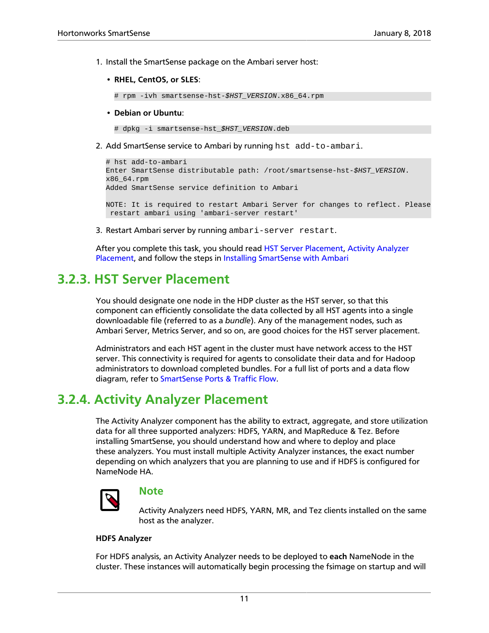- 1. Install the SmartSense package on the Ambari server host:
	- **RHEL, CentOS, or SLES**:

# rpm -ivh smartsense-hst-\$HST\_VERSION.x86\_64.rpm

• **Debian or Ubuntu**:

# dpkg -i smartsense-hst \$HST\_VERSION.deb

2. Add SmartSense service to Ambari by running hst add-to-ambari.

```
# hst add-to-ambari
Enter SmartSense distributable path: /root/smartsense-hst-$HST_VERSION.
x86_64.rpm
Added SmartSense service definition to Ambari
NOTE: It is required to restart Ambari Server for changes to reflect. Please
 restart ambari using 'ambari-server restart'
```
3. Restart Ambari server by running ambari-server restart.

After you complete this task, you should read [HST Server Placement,](#page-13-0) [Activity Analyzer](#page-13-1) [Placement,](#page-13-1) and follow the steps in [Installing SmartSense with Ambari](#page-11-1)

### <span id="page-13-0"></span>**3.2.3. HST Server Placement**

You should designate one node in the HDP cluster as the HST server, so that this component can efficiently consolidate the data collected by all HST agents into a single downloadable file (referred to as a *bundle*). Any of the management nodes, such as Ambari Server, Metrics Server, and so on, are good choices for the HST server placement.

Administrators and each HST agent in the cluster must have network access to the HST server. This connectivity is required for agents to consolidate their data and for Hadoop administrators to download completed bundles. For a full list of ports and a data flow diagram, refer to [SmartSense Ports & Traffic Flow](#page-23-0).

### <span id="page-13-1"></span>**3.2.4. Activity Analyzer Placement**

The Activity Analyzer component has the ability to extract, aggregate, and store utilization data for all three supported analyzers: HDFS, YARN, and MapReduce & Tez. Before installing SmartSense, you should understand how and where to deploy and place these analyzers. You must install multiple Activity Analyzer instances, the exact number depending on which analyzers that you are planning to use and if HDFS is configured for NameNode HA.



#### **Note**

Activity Analyzers need HDFS, YARN, MR, and Tez clients installed on the same host as the analyzer.

#### **HDFS Analyzer**

For HDFS analysis, an Activity Analyzer needs to be deployed to **each** NameNode in the cluster. These instances will automatically begin processing the fsimage on startup and will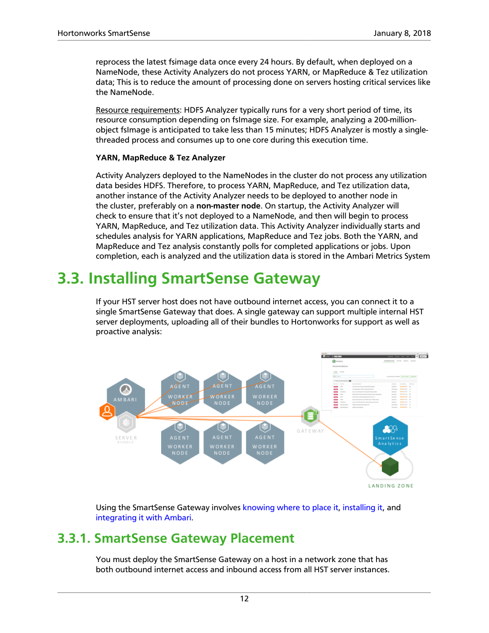reprocess the latest fsimage data once every 24 hours. By default, when deployed on a NameNode, these Activity Analyzers do not process YARN, or MapReduce & Tez utilization data; This is to reduce the amount of processing done on servers hosting critical services like the NameNode.

Resource requirements: HDFS Analyzer typically runs for a very short period of time, its resource consumption depending on fsImage size. For example, analyzing a 200-millionobject fsImage is anticipated to take less than 15 minutes; HDFS Analyzer is mostly a singlethreaded process and consumes up to one core during this execution time.

#### **YARN, MapReduce & Tez Analyzer**

Activity Analyzers deployed to the NameNodes in the cluster do not process any utilization data besides HDFS. Therefore, to process YARN, MapReduce, and Tez utilization data, another instance of the Activity Analyzer needs to be deployed to another node in the cluster, preferably on a **non-master node**. On startup, the Activity Analyzer will check to ensure that it's not deployed to a NameNode, and then will begin to process YARN, MapReduce, and Tez utilization data. This Activity Analyzer individually starts and schedules analysis for YARN applications, MapReduce and Tez jobs. Both the YARN, and MapReduce and Tez analysis constantly polls for completed applications or jobs. Upon completion, each is analyzed and the utilization data is stored in the Ambari Metrics System

# <span id="page-14-0"></span>**3.3. Installing SmartSense Gateway**

If your HST server host does not have outbound internet access, you can connect it to a single SmartSense Gateway that does. A single gateway can support multiple internal HST server deployments, uploading all of their bundles to Hortonworks for support as well as proactive analysis:



Using the SmartSense Gateway involves [knowing where to place it,](#page-14-1) [installing it](#page-15-0), and [integrating it with Ambari.](#page-16-0)

### <span id="page-14-1"></span>**3.3.1. SmartSense Gateway Placement**

You must deploy the SmartSense Gateway on a host in a network zone that has both outbound internet access and inbound access from all HST server instances.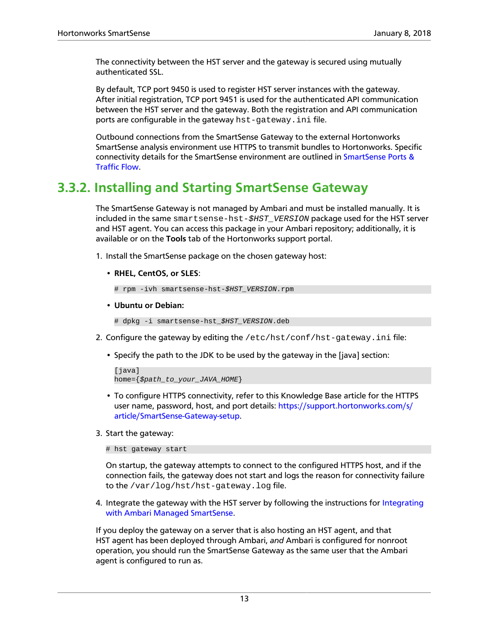The connectivity between the HST server and the gateway is secured using mutually authenticated SSL.

By default, TCP port 9450 is used to register HST server instances with the gateway. After initial registration, TCP port 9451 is used for the authenticated API communication between the HST server and the gateway. Both the registration and API communication ports are configurable in the gateway hst-gateway.ini file.

Outbound connections from the SmartSense Gateway to the external Hortonworks SmartSense analysis environment use HTTPS to transmit bundles to Hortonworks. Specific connectivity details for the SmartSense environment are outlined in [SmartSense Ports &](#page-23-0) [Traffic Flow.](#page-23-0)

### <span id="page-15-0"></span>**3.3.2. Installing and Starting SmartSense Gateway**

The SmartSense Gateway is not managed by Ambari and must be installed manually. It is included in the same smartsense-hst-\$HST\_VERSION package used for the HST server and HST agent. You can access this package in your Ambari repository; additionally, it is available or on the **Tools** tab of the Hortonworks support portal.

- 1. Install the SmartSense package on the chosen gateway host:
	- **RHEL, CentOS, or SLES**:

# rpm -ivh smartsense-hst-\$HST\_VERSION.rpm

• **Ubuntu or Debian:**

```
# dpkg -i smartsense-hst_$HST_VERSION.deb
```
- 2. Configure the gateway by editing the  $/$ etc $/$ hst $/$ conf $/$ hst-gateway.ini file:
	- Specify the path to the JDK to be used by the gateway in the [java] section:

```
[java]
home=\{$path to your JAVA HOME}
```
- To configure HTTPS connectivity, refer to this Knowledge Base article for the HTTPS user name, password, host, and port details: [https://support.hortonworks.com/s/](https://support.hortonworks.com/s/article/SmartSense-Gateway-setup) [article/SmartSense-Gateway-setup](https://support.hortonworks.com/s/article/SmartSense-Gateway-setup).
- 3. Start the gateway:

# hst gateway start

On startup, the gateway attempts to connect to the configured HTTPS host, and if the connection fails, the gateway does not start and logs the reason for connectivity failure to the /var/log/hst/hst-gateway.log file.

4. Integrate the gateway with the HST server by following the instructions for [Integrating](#page-16-0) [with Ambari Managed SmartSense.](#page-16-0)

If you deploy the gateway on a server that is also hosting an HST agent, and that HST agent has been deployed through Ambari, *and* Ambari is configured for nonroot operation, you should run the SmartSense Gateway as the same user that the Ambari agent is configured to run as.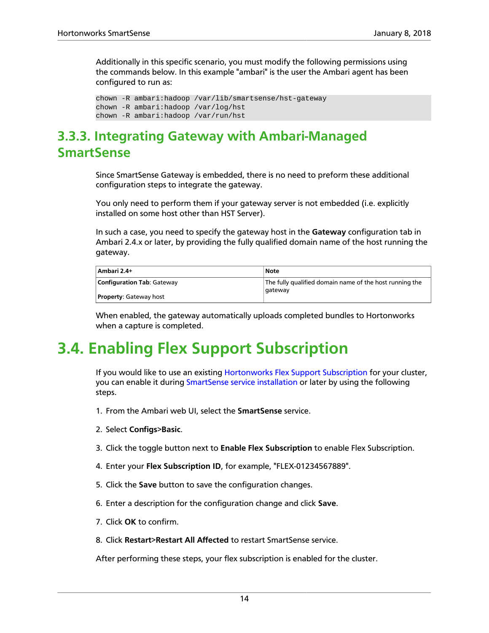Additionally in this specific scenario, you must modify the following permissions using the commands below. In this example "ambari" is the user the Ambari agent has been configured to run as:

```
chown -R ambari:hadoop /var/lib/smartsense/hst-gateway
chown -R ambari:hadoop /var/log/hst
chown -R ambari:hadoop /var/run/hst
```
### <span id="page-16-0"></span>**3.3.3. Integrating Gateway with Ambari-Managed SmartSense**

Since SmartSense Gateway is embedded, there is no need to preform these additional configuration steps to integrate the gateway.

You only need to perform them if your gateway server is not embedded (i.e. explicitly installed on some host other than HST Server).

In such a case, you need to specify the gateway host in the **Gateway** configuration tab in Ambari 2.4.x or later, by providing the fully qualified domain name of the host running the gateway.

| Ambari 2.4+                       | Note                                                               |
|-----------------------------------|--------------------------------------------------------------------|
| <b>Configuration Tab: Gateway</b> | The fully qualified domain name of the host running the<br>gateway |
| <b>Property: Gateway host</b>     |                                                                    |

When enabled, the gateway automatically uploads completed bundles to Hortonworks when a capture is completed.

# <span id="page-16-1"></span>**3.4. Enabling Flex Support Subscription**

If you would like to use an existing [Hortonworks Flex Support Subscription](https://hortonworks.com/services/support/flex/) for your cluster, you can enable it during [SmartSense service installation](#page-11-1) or later by using the following steps.

- 1. From the Ambari web UI, select the **SmartSense** service.
- 2. Select **Configs**>**Basic**.
- 3. Click the toggle button next to **Enable Flex Subscription** to enable Flex Subscription.
- 4. Enter your **Flex Subscription ID**, for example, "FLEX-01234567889".
- 5. Click the **Save** button to save the configuration changes.
- 6. Enter a description for the configuration change and click **Save**.
- 7. Click **OK** to confirm.
- 8. Click **Restart**>**Restart All Affected** to restart SmartSense service.

After performing these steps, your flex subscription is enabled for the cluster.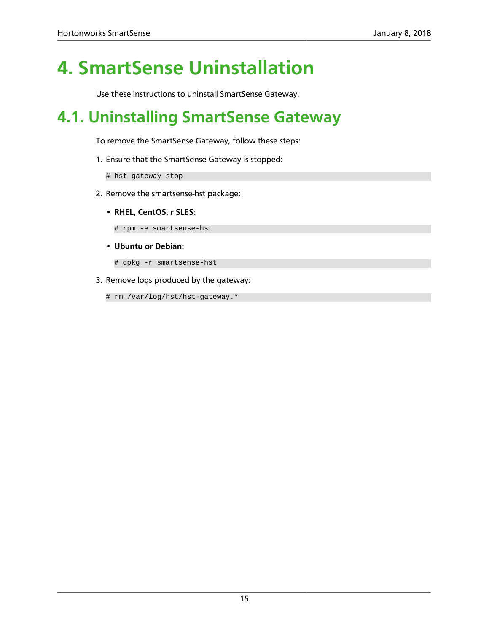# <span id="page-17-0"></span>**4. SmartSense Uninstallation**

Use these instructions to uninstall SmartSense Gateway.

# <span id="page-17-1"></span>**4.1. Uninstalling SmartSense Gateway**

To remove the SmartSense Gateway, follow these steps:

1. Ensure that the SmartSense Gateway is stopped:

# hst gateway stop

- 2. Remove the smartsense-hst package:
	- **RHEL, CentOS, r SLES:**

# rpm -e smartsense-hst

• **Ubuntu or Debian:**

# dpkg -r smartsense-hst

3. Remove logs produced by the gateway:

# rm /var/log/hst/hst-gateway.\*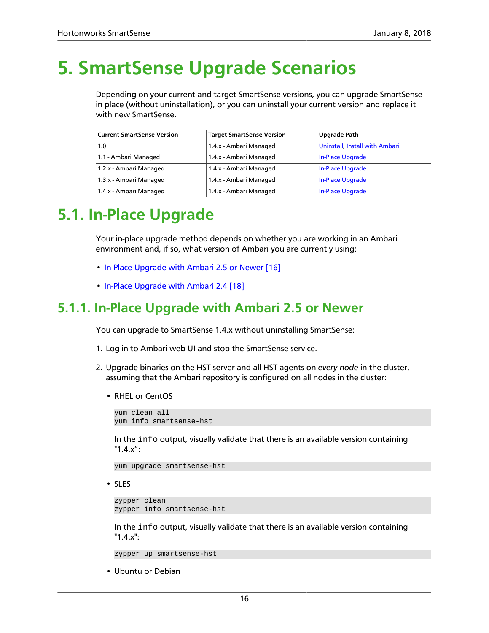# <span id="page-18-0"></span>**5. SmartSense Upgrade Scenarios**

Depending on your current and target SmartSense versions, you can upgrade SmartSense in place (without uninstallation), or you can uninstall your current version and replace it with new SmartSense.

| <b>Current SmartSense Version</b> | <b>Target SmartSense Version</b> | <b>Upgrade Path</b>            |
|-----------------------------------|----------------------------------|--------------------------------|
| 1.0                               | 1.4.x - Ambari Managed           | Uninstall, Install with Ambari |
| 1.1 - Ambari Managed              | 1.4.x - Ambari Managed           | In-Place Upgrade               |
| 1.2.x - Ambari Managed            | 1.4.x - Ambari Managed           | In-Place Upgrade               |
| 1.3.x - Ambari Managed            | 1.4.x - Ambari Managed           | In-Place Upgrade               |
| 1.4.x - Ambari Managed            | 1.4.x - Ambari Managed           | <b>In-Place Upgrade</b>        |

# <span id="page-18-1"></span>**5.1. In-Place Upgrade**

Your in-place upgrade method depends on whether you are working in an Ambari environment and, if so, what version of Ambari you are currently using:

- [In-Place Upgrade with Ambari 2.5 or Newer \[16\]](#page-18-2)
- [In-Place Upgrade with Ambari 2.4 \[18\]](#page-20-0)

### <span id="page-18-2"></span>**5.1.1. In-Place Upgrade with Ambari 2.5 or Newer**

You can upgrade to SmartSense 1.4.x without uninstalling SmartSense:

- 1. Log in to Ambari web UI and stop the SmartSense service.
- 2. Upgrade binaries on the HST server and all HST agents on *every node* in the cluster, assuming that the Ambari repository is configured on all nodes in the cluster:
	- RHEL or CentOS

yum clean all yum info smartsense-hst

In the info output, visually validate that there is an available version containing "1.4.x":

yum upgrade smartsense-hst

• SLES

```
zypper clean
zypper info smartsense-hst
```
In the info output, visually validate that there is an available version containing "1.4.x":

zypper up smartsense-hst

• Ubuntu or Debian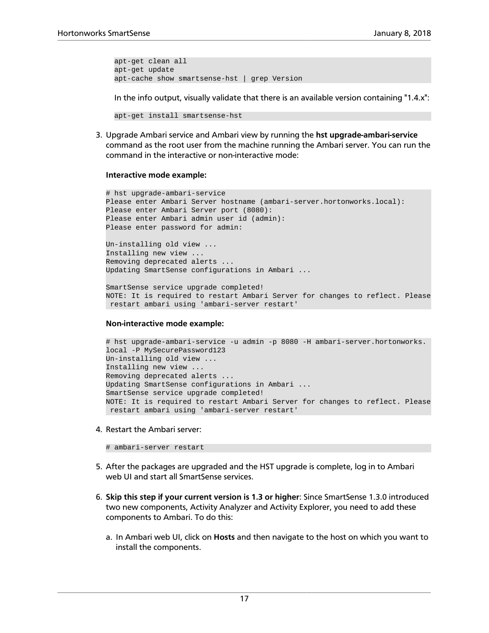```
apt-get clean all
apt-get update
apt-cache show smartsense-hst | grep Version
```
In the info output, visually validate that there is an available version containing "1.4.x":

```
apt-get install smartsense-hst
```
3. Upgrade Ambari service and Ambari view by running the **hst upgrade-ambari-service** command as the root user from the machine running the Ambari server. You can run the command in the interactive or non-interactive mode:

#### **Interactive mode example:**

```
# hst upgrade-ambari-service
Please enter Ambari Server hostname (ambari-server.hortonworks.local):
Please enter Ambari Server port (8080):
Please enter Ambari admin user id (admin):
Please enter password for admin:
Un-installing old view ...
Installing new view ...
Removing deprecated alerts ...
Updating SmartSense configurations in Ambari ...
SmartSense service upgrade completed!
NOTE: It is required to restart Ambari Server for changes to reflect. Please
```
#### **Non-interactive mode example:**

restart ambari using 'ambari-server restart'

```
# hst upgrade-ambari-service -u admin -p 8080 -H ambari-server.hortonworks.
local -P MySecurePassword123
Un-installing old view ...
Installing new view ...
Removing deprecated alerts ...
Updating SmartSense configurations in Ambari ...
SmartSense service upgrade completed!
NOTE: It is required to restart Ambari Server for changes to reflect. Please
 restart ambari using 'ambari-server restart'
```
4. Restart the Ambari server:

# ambari-server restart

- 5. After the packages are upgraded and the HST upgrade is complete, log in to Ambari web UI and start all SmartSense services.
- 6. **Skip this step if your current version is 1.3 or higher**: Since SmartSense 1.3.0 introduced two new components, Activity Analyzer and Activity Explorer, you need to add these components to Ambari. To do this:
	- a. In Ambari web UI, click on **Hosts** and then navigate to the host on which you want to install the components.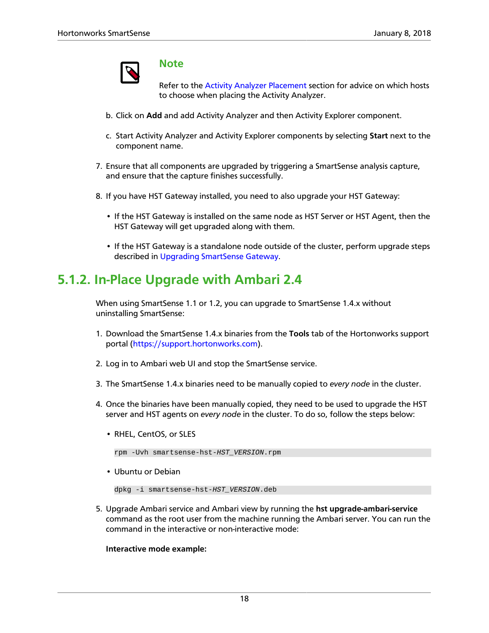

#### **Note**

Refer to the [Activity Analyzer Placement](https://docs.hortonworks.com/HDPDocuments/SS1/SmartSense-1.4.4/bk_installation/content/activity_analyzer_placement.html) section for advice on which hosts to choose when placing the Activity Analyzer.

- b. Click on **Add** and add Activity Analyzer and then Activity Explorer component.
- c. Start Activity Analyzer and Activity Explorer components by selecting **Start** next to the component name.
- 7. Ensure that all components are upgraded by triggering a SmartSense analysis capture, and ensure that the capture finishes successfully.
- 8. If you have HST Gateway installed, you need to also upgrade your HST Gateway:
	- If the HST Gateway is installed on the same node as HST Server or HST Agent, then the HST Gateway will get upgraded along with them.
	- If the HST Gateway is a standalone node outside of the cluster, perform upgrade steps described in [Upgrading SmartSense Gateway.](#page-22-0)

### <span id="page-20-0"></span>**5.1.2. In-Place Upgrade with Ambari 2.4**

When using SmartSense 1.1 or 1.2, you can upgrade to SmartSense 1.4.x without uninstalling SmartSense:

- 1. Download the SmartSense 1.4.x binaries from the **Tools** tab of the Hortonworks support portal ([https://support.hortonworks.com\)](https://support.hortonworks.com/).
- 2. Log in to Ambari web UI and stop the SmartSense service.
- 3. The SmartSense 1.4.x binaries need to be manually copied to *every node* in the cluster.
- 4. Once the binaries have been manually copied, they need to be used to upgrade the HST server and HST agents on *every node* in the cluster. To do so, follow the steps below:
	- RHEL, CentOS, or SLES

rpm -Uvh smartsense-hst-HST\_VERSION.rpm

• Ubuntu or Debian

```
dpkg -i smartsense-hst-HST_VERSION.deb
```
5. Upgrade Ambari service and Ambari view by running the **hst upgrade-ambari-service** command as the root user from the machine running the Ambari server. You can run the command in the interactive or non-interactive mode:

**Interactive mode example:**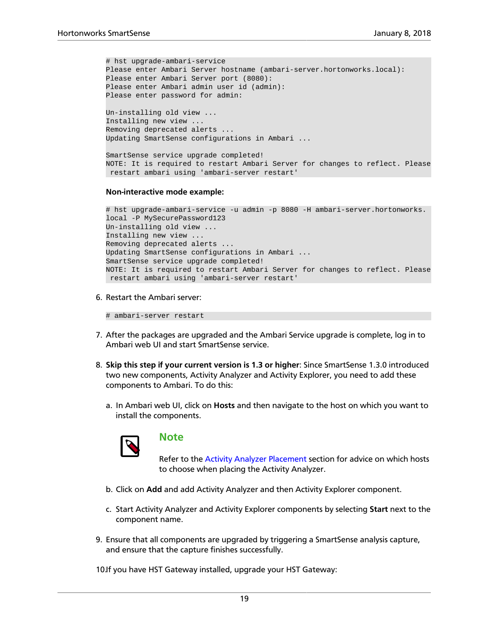```
# hst upgrade-ambari-service
Please enter Ambari Server hostname (ambari-server.hortonworks.local):
Please enter Ambari Server port (8080):
Please enter Ambari admin user id (admin):
Please enter password for admin:
Un-installing old view ...
Installing new view ...
Removing deprecated alerts ...
Updating SmartSense configurations in Ambari ...
```
SmartSense service upgrade completed! NOTE: It is required to restart Ambari Server for changes to reflect. Please restart ambari using 'ambari-server restart'

#### **Non-interactive mode example:**

```
# hst upgrade-ambari-service -u admin -p 8080 -H ambari-server.hortonworks.
local -P MySecurePassword123
Un-installing old view ...
Installing new view ...
Removing deprecated alerts ...
Updating SmartSense configurations in Ambari ...
SmartSense service upgrade completed!
NOTE: It is required to restart Ambari Server for changes to reflect. Please
 restart ambari using 'ambari-server restart'
```
6. Restart the Ambari server:

# ambari-server restart

- 7. After the packages are upgraded and the Ambari Service upgrade is complete, log in to Ambari web UI and start SmartSense service.
- 8. **Skip this step if your current version is 1.3 or higher**: Since SmartSense 1.3.0 introduced two new components, Activity Analyzer and Activity Explorer, you need to add these components to Ambari. To do this:
	- a. In Ambari web UI, click on **Hosts** and then navigate to the host on which you want to install the components.



#### **Note**

Refer to the [Activity Analyzer Placement](https://docs.hortonworks.com/HDPDocuments/SS1/SmartSense-1.4.4/bk_installation/content/activity_analyzer_placement.html) section for advice on which hosts to choose when placing the Activity Analyzer.

- b. Click on **Add** and add Activity Analyzer and then Activity Explorer component.
- c. Start Activity Analyzer and Activity Explorer components by selecting **Start** next to the component name.
- 9. Ensure that all components are upgraded by triggering a SmartSense analysis capture, and ensure that the capture finishes successfully.

10.If you have HST Gateway installed, upgrade your HST Gateway: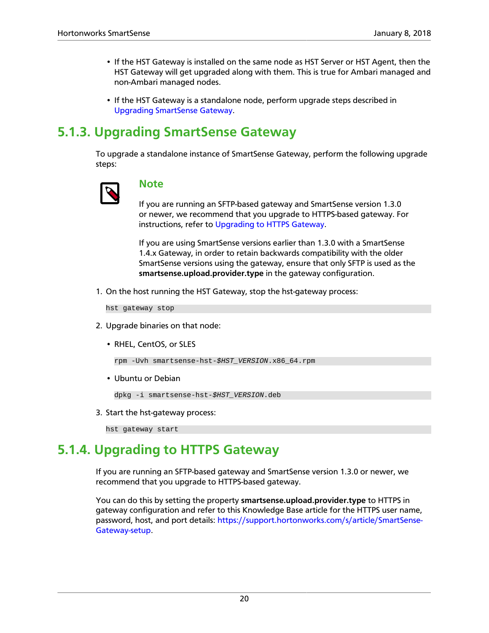- If the HST Gateway is installed on the same node as HST Server or HST Agent, then the HST Gateway will get upgraded along with them. This is true for Ambari managed and non-Ambari managed nodes.
- If the HST Gateway is a standalone node, perform upgrade steps described in [Upgrading SmartSense Gateway](#page-22-0).

### <span id="page-22-0"></span>**5.1.3. Upgrading SmartSense Gateway**

To upgrade a standalone instance of SmartSense Gateway, perform the following upgrade steps:



#### **Note**

If you are running an SFTP-based gateway and SmartSense version 1.3.0 or newer, we recommend that you upgrade to HTTPS-based gateway. For instructions, refer to [Upgrading to HTTPS Gateway](#page-22-1).

If you are using SmartSense versions earlier than 1.3.0 with a SmartSense 1.4.x Gateway, in order to retain backwards compatibility with the older SmartSense versions using the gateway, ensure that only SFTP is used as the **smartsense.upload.provider.type** in the gateway configuration.

1. On the host running the HST Gateway, stop the hst-gateway process:

hst gateway stop

- 2. Upgrade binaries on that node:
	- RHEL, CentOS, or SLES

rpm -Uvh smartsense-hst-\$HST\_VERSION.x86\_64.rpm

• Ubuntu or Debian

dpkg -i smartsense-hst-\$HST\_VERSION.deb

3. Start the hst-gateway process:

hst gateway start

### <span id="page-22-1"></span>**5.1.4. Upgrading to HTTPS Gateway**

If you are running an SFTP-based gateway and SmartSense version 1.3.0 or newer, we recommend that you upgrade to HTTPS-based gateway.

You can do this by setting the property **smartsense.upload.provider.type** to HTTPS in gateway configuration and refer to this Knowledge Base article for the HTTPS user name, password, host, and port details: [https://support.hortonworks.com/s/article/SmartSense-](https://support.hortonworks.com/s/article/SmartSense-Gateway-setup)[Gateway-setup.](https://support.hortonworks.com/s/article/SmartSense-Gateway-setup)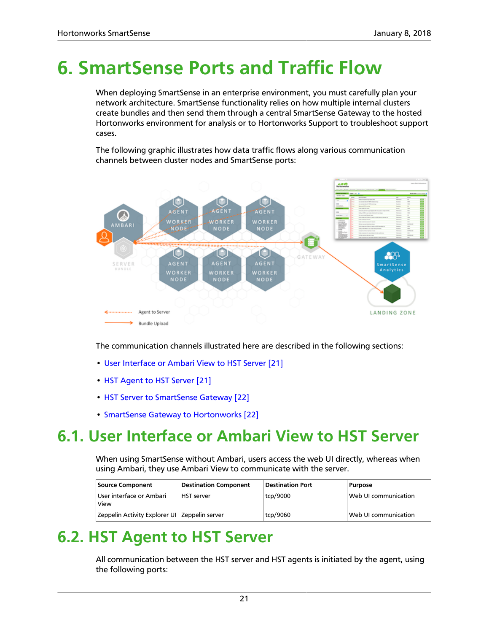# <span id="page-23-0"></span>**6. SmartSense Ports and Traffic Flow**

When deploying SmartSense in an enterprise environment, you must carefully plan your network architecture. SmartSense functionality relies on how multiple internal clusters create bundles and then send them through a central SmartSense Gateway to the hosted Hortonworks environment for analysis or to Hortonworks Support to troubleshoot support cases.

The following graphic illustrates how data traffic flows along various communication channels between cluster nodes and SmartSense ports:



The communication channels illustrated here are described in the following sections:

- [User Interface or Ambari View to HST Server \[21\]](#page-23-1)
- [HST Agent to HST Server \[21\]](#page-23-2)
- [HST Server to SmartSense Gateway \[22\]](#page-24-0)
- [SmartSense Gateway to Hortonworks \[22\]](#page-24-1)

# <span id="page-23-1"></span>**6.1. User Interface or Ambari View to HST Server**

When using SmartSense without Ambari, users access the web UI directly, whereas when using Ambari, they use Ambari View to communicate with the server.

| Source Component                                | <b>Destination Component</b> | <b>Destination Port</b> | <b>Purpose</b>       |
|-------------------------------------------------|------------------------------|-------------------------|----------------------|
| User interface or Ambari<br>View                | <b>HST</b> server            | tcp/9000                | Web UI communication |
| Zeppelin Activity Explorer UI   Zeppelin server |                              | tcp/9060                | Web UI communication |

# <span id="page-23-2"></span>**6.2. HST Agent to HST Server**

All communication between the HST server and HST agents is initiated by the agent, using the following ports: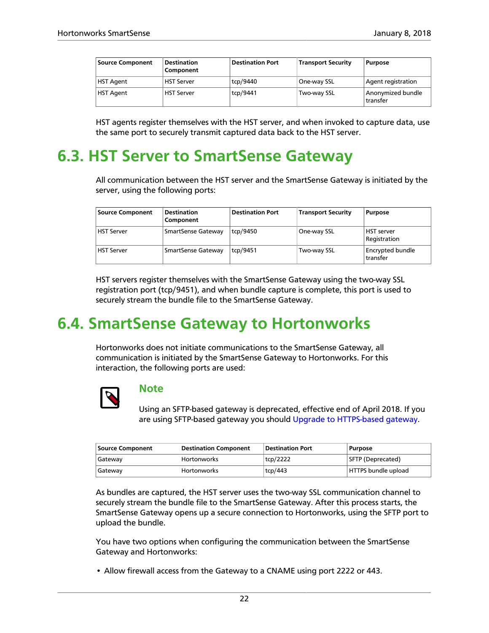| <b>Source Component</b> | <b>Destination</b><br>Component | <b>Destination Port</b> | <b>Transport Security</b> | <b>Purpose</b>                |
|-------------------------|---------------------------------|-------------------------|---------------------------|-------------------------------|
| <b>HST Agent</b>        | <b>HST Server</b>               | tcp/9440                | One-way SSL               | Agent registration            |
| <b>HST Agent</b>        | <b>HST Server</b>               | tcp/9441                | 'Two-way SSL              | Anonymized bundle<br>transfer |

HST agents register themselves with the HST server, and when invoked to capture data, use the same port to securely transmit captured data back to the HST server.

### <span id="page-24-0"></span>**6.3. HST Server to SmartSense Gateway**

All communication between the HST server and the SmartSense Gateway is initiated by the server, using the following ports:

| <b>Source Component</b> | <b>Destination</b><br>Component | <b>Destination Port</b> | Transport Security | <b>Purpose</b>                    |
|-------------------------|---------------------------------|-------------------------|--------------------|-----------------------------------|
| . HST Server            | SmartSense Gateway              | tcp/9450                | One-way SSL        | <b>HST</b> server<br>Registration |
| <b>HST Server</b>       | SmartSense Gateway              | tcp/9451                | Two-way SSL        | Encrypted bundle<br>transfer      |

HST servers register themselves with the SmartSense Gateway using the two-way SSL registration port (tcp/9451), and when bundle capture is complete, this port is used to securely stream the bundle file to the SmartSense Gateway.

### <span id="page-24-1"></span>**6.4. SmartSense Gateway to Hortonworks**

Hortonworks does not initiate communications to the SmartSense Gateway, all communication is initiated by the SmartSense Gateway to Hortonworks. For this interaction, the following ports are used:



#### **Note**

Using an SFTP-based gateway is deprecated, effective end of April 2018. If you are using SFTP-based gateway you should [Upgrade to HTTPS-based gateway](https://docs.hortonworks.com/HDPDocuments/SS1/SmartSense-1.4.4/bk_installation/content/gateway_https_update.html).

| <b>Source Component</b> | Destination Component | Destination Port | <b>Purpose</b>      |
|-------------------------|-----------------------|------------------|---------------------|
| Gateway                 | <b>Hortonworks</b>    | tcp/2222         | SFTP (Deprecated)   |
| Gateway                 | <b>Hortonworks</b>    | tcp/443          | HTTPS bundle upload |

As bundles are captured, the HST server uses the two-way SSL communication channel to securely stream the bundle file to the SmartSense Gateway. After this process starts, the SmartSense Gateway opens up a secure connection to Hortonworks, using the SFTP port to upload the bundle.

You have two options when configuring the communication between the SmartSense Gateway and Hortonworks:

• Allow firewall access from the Gateway to a CNAME using port 2222 or 443.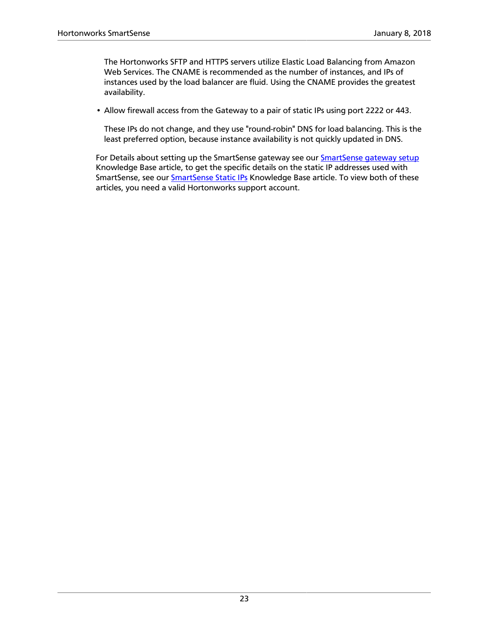The Hortonworks SFTP and HTTPS servers utilize Elastic Load Balancing from Amazon Web Services. The CNAME is recommended as the number of instances, and IPs of instances used by the load balancer are fluid. Using the CNAME provides the greatest availability.

• Allow firewall access from the Gateway to a pair of static IPs using port 2222 or 443.

These IPs do not change, and they use "round-robin" DNS for load balancing. This is the least preferred option, because instance availability is not quickly updated in DNS.

For Details about setting up the SmartSense gateway see our [SmartSense gateway setup](https://support.hortonworks.com/s/article/SmartSense-Gateway-setup) Knowledge Base article, to get the specific details on the static IP addresses used with SmartSense, see our **SmartSense Static IPs** Knowledge Base article. To view both of these articles, you need a valid Hortonworks support account.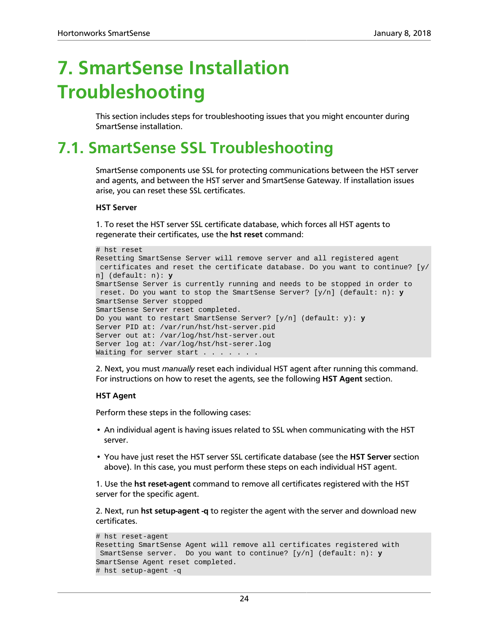# <span id="page-26-0"></span>**7. SmartSense Installation Troubleshooting**

This section includes steps for troubleshooting issues that you might encounter during SmartSense installation.

# <span id="page-26-1"></span>**7.1. SmartSense SSL Troubleshooting**

SmartSense components use SSL for protecting communications between the HST server and agents, and between the HST server and SmartSense Gateway. If installation issues arise, you can reset these SSL certificates.

#### **HST Server**

1. To reset the HST server SSL certificate database, which forces all HST agents to regenerate their certificates, use the **hst reset** command:

```
# hst reset
Resetting SmartSense Server will remove server and all registered agent
 certificates and reset the certificate database. Do you want to continue? [y/
n] (default: n): y
SmartSense Server is currently running and needs to be stopped in order to
 reset. Do you want to stop the SmartSense Server? [y/n] (default: n): y
SmartSense Server stopped
SmartSense Server reset completed.
Do you want to restart SmartSense Server? [y/n] (default: y): y
Server PID at: /var/run/hst/hst-server.pid
Server out at: /var/log/hst/hst-server.out
Server log at: /var/log/hst/hst-serer.log
Waiting for server start . . . . . . .
```
2. Next, you must *manually* reset each individual HST agent after running this command. For instructions on how to reset the agents, see the following **HST Agent** section.

#### **HST Agent**

Perform these steps in the following cases:

- An individual agent is having issues related to SSL when communicating with the HST server.
- You have just reset the HST server SSL certificate database (see the **HST Server** section above). In this case, you must perform these steps on each individual HST agent.

1. Use the **hst reset-agent** command to remove all certificates registered with the HST server for the specific agent.

2. Next, run **hst setup-agent -q** to register the agent with the server and download new certificates.

```
# hst reset-agent
Resetting SmartSense Agent will remove all certificates registered with
 SmartSense server. Do you want to continue? [y/n] (default: n): y
SmartSense Agent reset completed.
# hst setup-agent -q
```